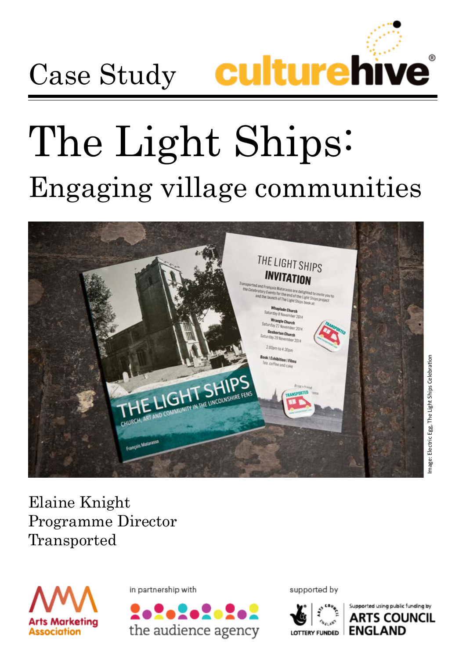

# The Light Ships: Engaging village communities



Elaine Knight Programme Director Transported



in partnership with



supported by



Supported using public funding by **ARTS COUNCIL ENGLAND**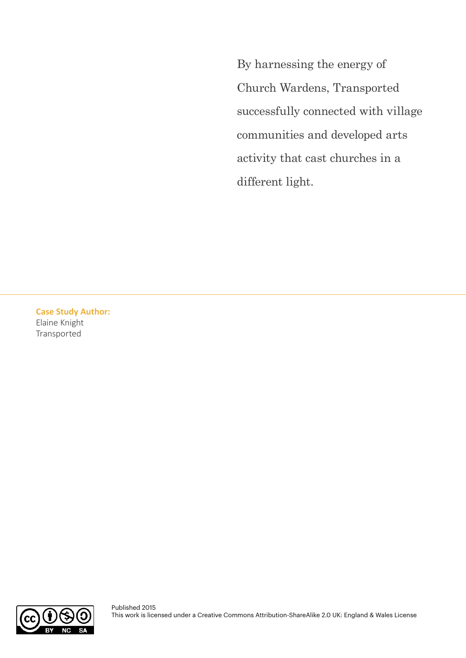By harnessing the energy of Church Wardens, Transported successfully connected with village communities and developed arts activity that cast churches in a different light.

**Case Study Author:**  Elaine Knight Transported

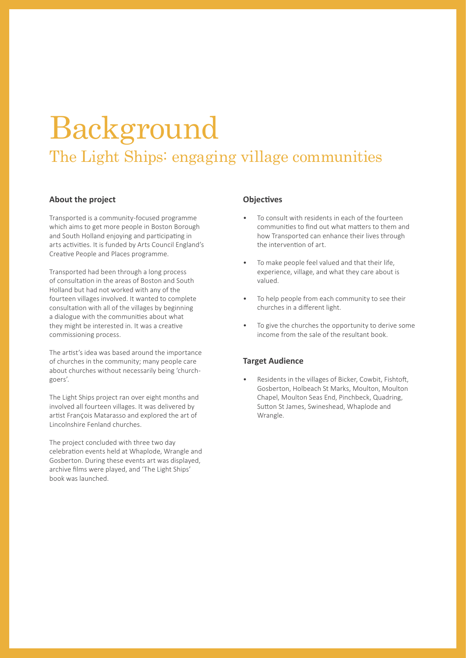### Background The Light Ships: engaging village communities

#### **About the project**

Transported is a community-focused programme which aims to get more people in Boston Borough and South Holland enjoying and participating in arts activities. It is funded by Arts Council England's Creative People and Places programme.

Transported had been through a long process of consultation in the areas of Boston and South Holland but had not worked with any of the fourteen villages involved. It wanted to complete consultation with all of the villages by beginning a dialogue with the communities about what they might be interested in. It was a creative commissioning process.

The artist's idea was based around the importance of churches in the community; many people care about churches without necessarily being 'churchgoers'.

The Light Ships project ran over eight months and involved all fourteen villages. It was delivered by artist FranÇois Matarasso and explored the art of Lincolnshire Fenland churches.

The project concluded with three two day celebration events held at Whaplode, Wrangle and Gosberton. During these events art was displayed, archive films were played, and 'The Light Ships' book was launched.

#### **Objectives**

- To consult with residents in each of the fourteen communities to find out what matters to them and how Transported can enhance their lives through the intervention of art.
- To make people feel valued and that their life, experience, village, and what they care about is valued.
- To help people from each community to see their churches in a different light.
- To give the churches the opportunity to derive some income from the sale of the resultant book.

#### **Target Audience**

Residents in the villages of Bicker, Cowbit, Fishtoft, Gosberton, Holbeach St Marks, Moulton, Moulton Chapel, Moulton Seas End, Pinchbeck, Quadring, Sutton St James, Swineshead, Whaplode and Wrangle.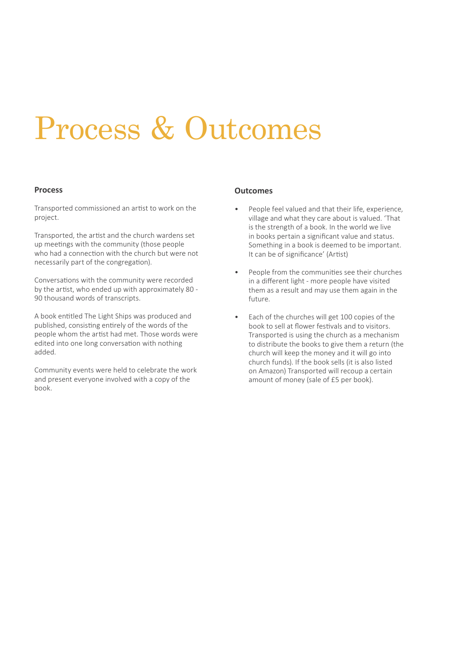### Process & Outcomes

#### **Process**

Transported commissioned an artist to work on the project.

Transported, the artist and the church wardens set up meetings with the community (those people who had a connection with the church but were not necessarily part of the congregation).

Conversations with the community were recorded by the artist, who ended up with approximately 80 - 90 thousand words of transcripts.

A book entitled The Light Ships was produced and published, consisting entirely of the words of the people whom the artist had met. Those words were edited into one long conversation with nothing added.

Community events were held to celebrate the work and present everyone involved with a copy of the book.

#### **Outcomes**

- People feel valued and that their life, experience, village and what they care about is valued. 'That is the strength of a book. In the world we live in books pertain a significant value and status. Something in a book is deemed to be important. It can be of significance' (Artist)
- People from the communities see their churches in a different light - more people have visited them as a result and may use them again in the future.
- Each of the churches will get 100 copies of the book to sell at flower festivals and to visitors. Transported is using the church as a mechanism to distribute the books to give them a return (the church will keep the money and it will go into church funds). If the book sells (it is also listed on Amazon) Transported will recoup a certain amount of money (sale of £5 per book).